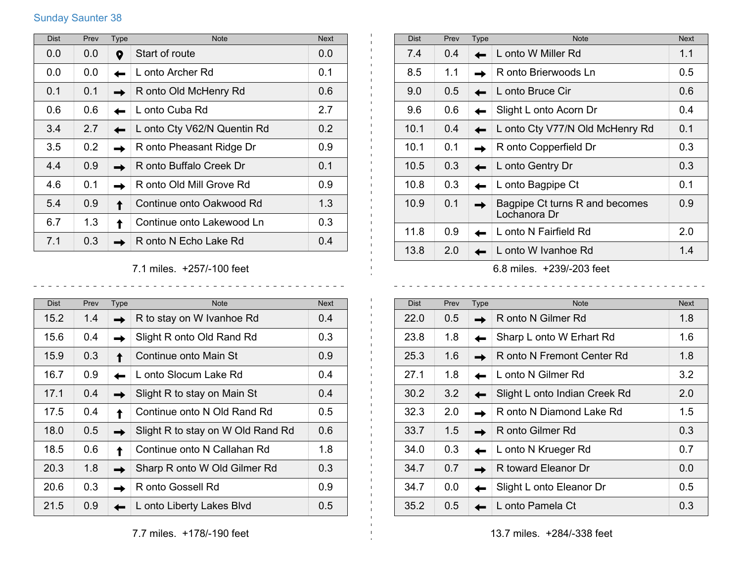## Sunday Saunter 38

| <b>Dist</b> | Prev | <b>Type</b> | <b>Note</b>                 | <b>Next</b> |
|-------------|------|-------------|-----------------------------|-------------|
| 0.0         | 0.0  | Q           | Start of route              | 0.0         |
| 0.0         | 0.0  |             | L onto Archer Rd            | 0.1         |
| 0.1         | 0.1  |             | R onto Old McHenry Rd       | 0.6         |
| 0.6         | 0.6  |             | L onto Cuba Rd              | 2.7         |
| 3.4         | 2.7  |             | L onto Cty V62/N Quentin Rd | 0.2         |
| 3.5         | 0.2  |             | R onto Pheasant Ridge Dr    | 0.9         |
| 4.4         | 0.9  |             | R onto Buffalo Creek Dr     | 0.1         |
| 4.6         | 0.1  |             | R onto Old Mill Grove Rd    | 0.9         |
| 5.4         | 0.9  |             | Continue onto Oakwood Rd    | 1.3         |
| 6.7         | 1.3  |             | Continue onto Lakewood Ln   | 0.3         |
| 7.1         | 0.3  |             | R onto N Echo Lake Rd       | 0.4         |

7.1 miles. +257/-100 feet

 $\sim$  $\sim$ 

| <b>Dist</b> | Prev | Type | <b>Note</b>                       | <b>Next</b>      |
|-------------|------|------|-----------------------------------|------------------|
| 15.2        | 1.4  |      | R to stay on W Ivanhoe Rd         | 0.4              |
| 15.6        | 0.4  |      | Slight R onto Old Rand Rd         | 0.3 <sub>2</sub> |
| 15.9        | 0.3  |      | Continue onto Main St             | 0.9              |
| 16.7        | 0.9  |      | L onto Slocum Lake Rd             | 0.4              |
| 17.1        | 0.4  |      | Slight R to stay on Main St       | 0.4              |
| 17.5        | 0.4  |      | Continue onto N Old Rand Rd       | 0.5              |
| 18.0        | 0.5  |      | Slight R to stay on W Old Rand Rd | 0.6              |
| 18.5        | 0.6  |      | Continue onto N Callahan Rd       | 1.8              |
| 20.3        | 1.8  |      | Sharp R onto W Old Gilmer Rd      | 0.3 <sub>2</sub> |
| 20.6        | 0.3  |      | R onto Gossell Rd                 | 0.9              |
| 21.5        | 0.9  |      | L onto Liberty Lakes Blvd         | $0.5^{\circ}$    |

| nd Rd | 0.6           | 33.7          | 1.5           |  |
|-------|---------------|---------------|---------------|--|
|       | 1.8           | 34.0          | 0.3           |  |
| ₹d    | 0.3           | 34.7          | 0.7           |  |
|       | 0.9           | 34.7          | 0.0           |  |
|       | $\sim$ $\sim$ | $\sim$ $\sim$ | $\sim$ $\sim$ |  |

 $\mathbf{L}$  $\mathbf{L}$  $\pm 1$ 

| <b>Dist</b> | Prev | <b>Type</b> | <b>Note</b>                                    | <b>Next</b> |
|-------------|------|-------------|------------------------------------------------|-------------|
| 7.4         | 0.4  |             | L onto W Miller Rd                             | 1.1         |
| 8.5         | 1.1  |             | R onto Brierwoods Ln                           | 0.5         |
| 9.0         | 0.5  |             | L onto Bruce Cir                               | 0.6         |
| 9.6         | 0.6  |             | Slight L onto Acorn Dr                         | 0.4         |
| 10.1        | 0.4  |             | L onto Cty V77/N Old McHenry Rd                | 0.1         |
| 10.1        | 0.1  |             | R onto Copperfield Dr                          | 0.3         |
| 10.5        | 0.3  |             | L onto Gentry Dr                               | 0.3         |
| 10.8        | 0.3  |             | L onto Bagpipe Ct                              | 0.1         |
| 10.9        | 0.1  |             | Bagpipe Ct turns R and becomes<br>Lochanora Dr | 0.9         |
| 11.8        | 0.9  |             | L onto N Fairfield Rd                          | 2.0         |
| 13.8        | 2.0  |             | L onto W Ivanhoe Rd                            | 1.4         |
|             |      |             |                                                |             |

6.8 miles. +239/-203 feet

| <b>Dist</b> | Prev          | <b>Type</b> | <b>Note</b>                   | <b>Next</b>   |
|-------------|---------------|-------------|-------------------------------|---------------|
| 22.0        | $0.5^{\circ}$ |             | R onto N Gilmer Rd            | 1.8           |
| 23.8        | 1.8           |             | Sharp L onto W Erhart Rd      | 1.6           |
| 25.3        | 1.6           |             | R onto N Fremont Center Rd    | 1.8           |
| 27.1        | 1.8           |             | L onto N Gilmer Rd            | 3.2           |
| 30.2        | 3.2           |             | Slight L onto Indian Creek Rd | 2.0           |
| 32.3        | 2.0           |             | R onto N Diamond Lake Rd      | $1.5^{\circ}$ |
| 33.7        | 1.5           |             | R onto Gilmer Rd              | 0.3           |
| 34.0        | 0.3           |             | L onto N Krueger Rd           | 0.7           |
| 34.7        | 0.7           |             | R toward Eleanor Dr           | 0.0           |
| 34.7        | 0.0           |             | Slight L onto Eleanor Dr      | 0.5           |
| 35.2        | 0.5           |             | L onto Pamela Ct              | 0.3           |